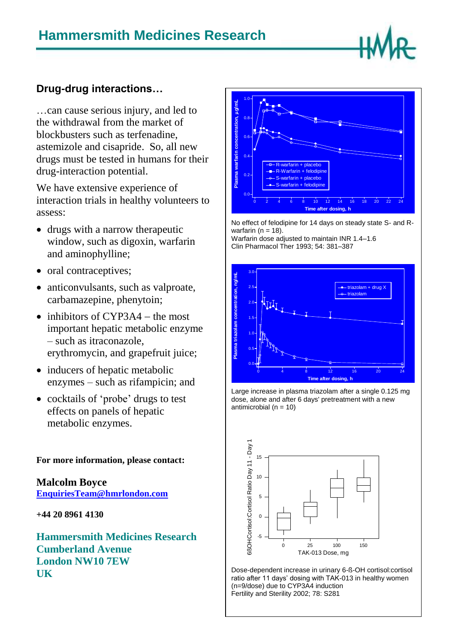## **Drug-drug interactions…**

…can cause serious injury, and led to the withdrawal from the market of blockbusters such as terfenadine, astemizole and cisapride. So, all new drugs must be tested in humans for their drug-interaction potential.

We have extensive experience of interaction trials in healthy volunteers to assess:

- drugs with a narrow therapeutic window, such as digoxin, warfarin and aminophylline;
- oral contraceptives;
- anticonvulsants, such as valproate, carbamazepine, phenytoin;
- $\bullet$  inhibitors of CYP3A4 the most important hepatic metabolic enzyme – such as itraconazole, erythromycin, and grapefruit juice;
- inducers of hepatic metabolic enzymes – such as rifampicin; and
- cocktails of 'probe' drugs to test effects on panels of hepatic metabolic enzymes.

**For more information, please contact:**

**Malcolm Boyce [EnquiriesTeam@hmrlondon.com](mailto:EnquiriesTeam@hmrlondon.com)**

**+44 20 8961 4130**

**Hammersmith Medicines Research Cumberland Avenue London NW10 7EW UK**



No effect of felodipine for 14 days on steady state S- and Rwarfarin ( $n = 18$ ).

Warfarin dose adjusted to maintain INR 1.4–1.6 Clin Pharmacol Ther 1993; 54: 381–387







Dose-dependent increase in urinary 6-ß-OH cortisol:cortisol ratio after 11 days' dosing with TAK-013 in healthy women (n=9/dose) due to CYP3A4 induction Fertility and Sterility 2002; 78: S281